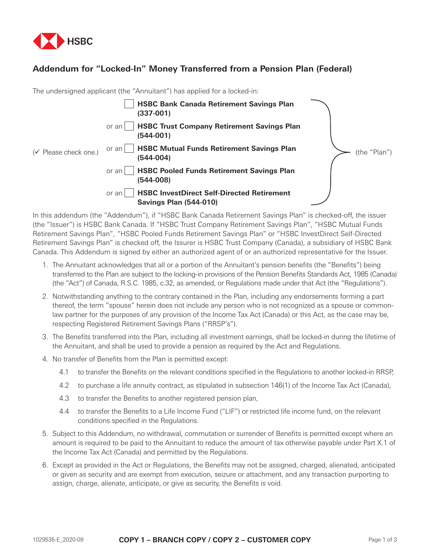

## **Addendum for "Locked-In" Money Transferred from a Pension Plan (Federal)**

|                       | The undersigned applicant (the "Annuitant") has applied for a locked-in:                    |              |
|-----------------------|---------------------------------------------------------------------------------------------|--------------|
|                       | <b>HSBC Bank Canada Retirement Savings Plan</b><br>$(337-001)$                              |              |
| (√ Please check one.) | <b>HSBC Trust Company Retirement Savings Plan</b><br>or an<br>$(544 - 001)$                 |              |
|                       | <b>HSBC Mutual Funds Retirement Savings Plan</b><br>or an<br>$(544-004)$                    | (the "Plan") |
|                       | <b>HSBC Pooled Funds Retirement Savings Plan</b><br>or an<br>$(544-008)$                    |              |
|                       | <b>HSBC InvestDirect Self-Directed Retirement</b><br>or an<br><b>Savings Plan (544-010)</b> |              |

In this addendum (the "Addendum"), if "HSBC Bank Canada Retirement Savings Plan" is checked-off, the issuer (the "Issuer") is HSBC Bank Canada. If "HSBC Trust Company Retirement Savings Plan", "HSBC Mutual Funds Retirement Savings Plan", "HSBC Pooled Funds Retirement Savings Plan" or "HSBC InvestDirect Self-Directed Retirement Savings Plan" is checked off, the Issurer is HSBC Trust Company (Canada), a subsidiary of HSBC Bank Canada. This Addendum is signed by either an authorized agent of or an authorized representative for the Issuer.

- 1. The Annuitant acknowledges that all or a portion of the Annuitant's pension benefits (the "Benefits") being transferred to the Plan are subject to the locking-in provisions of the Pension Benefits Standards Act, 1985 (Canada) (the "Act") of Canada, R.S.C. 1985, c.32, as amended, or Regulations made under that Act (the "Regulations").
- 2. Notwithstanding anything to the contrary contained in the Plan, including any endorsements forming a part thereof, the term "spouse" herein does not include any person who is not recognized as a spouse or commonlaw partner for the purposes of any provision of the Income Tax Act (Canada) or this Act, as the case may be, respecting Registered Retirement Savings Plans ("RRSP's").
- 3. The Benefits transferred into the Plan, including all investment earnings, shall be locked-in during the lifetime of the Annuitant, and shall be used to provide a pension as required by the Act and Regulations.
- 4. No transfer of Benefits from the Plan is permitted except:
	- 4.1 to transfer the Benefits on the relevant conditions specified in the Regulations to another locked-in RRSP,
	- 4.2 to purchase a life annuity contract, as stipulated in subsection 146(1) of the Income Tax Act (Canada),
	- 4.3 to transfer the Benefits to another registered pension plan,
	- 4.4 to transfer the Benefits to a Life Income Fund ("LIF") or restricted life income fund, on the relevant conditions specified in the Regulations.
- 5. Subject to this Addendum, no withdrawal, commutation or surrender of Benefits is permitted except where an amount is required to be paid to the Annuitant to reduce the amount of tax otherwise payable under Part X.1 of the Income Tax Act (Canada) and permitted by the Regulations.
- 6. Except as provided in the Act or Regulations, the Benefits may not be assigned, charged, alienated, anticipated or given as security and are exempt from execution, seizure or attachment, and any transaction purporting to assign, charge, alienate, anticipate, or give as security, the Benefits is void.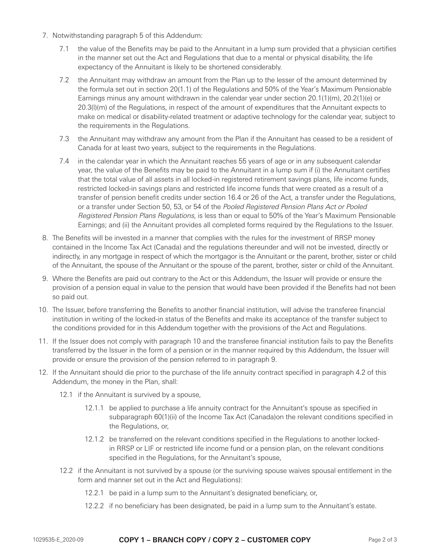- 7. Notwithstanding paragraph 5 of this Addendum:
	- 7.1 the value of the Benefits may be paid to the Annuitant in a lump sum provided that a physician certifies in the manner set out the Act and Regulations that due to a mental or physical disability, the life expectancy of the Annuitant is likely to be shortened considerably.
	- 7.2 the Annuitant may withdraw an amount from the Plan up to the lesser of the amount determined by the formula set out in section 20(1.1) of the Regulations and 50% of the Year's Maximum Pensionable Earnings minus any amount withdrawn in the calendar year under section 20.1(1)(m), 20.2(1)(e) or 20.3(l)(m) of the Regulations, in respect of the amount of expenditures that the Annuitant expects to make on medical or disability-related treatment or adaptive technology for the calendar year, subject to the requirements in the Regulations.
	- 7.3 the Annuitant may withdraw any amount from the Plan if the Annuitant has ceased to be a resident of Canada for at least two years, subject to the requirements in the Regulations.
	- 7.4 in the calendar year in which the Annuitant reaches 55 years of age or in any subsequent calendar year, the value of the Benefits may be paid to the Annuitant in a lump sum if (i) the Annuitant certifies that the total value of all assets in all locked-in registered retirement savings plans, life income funds, restricted locked-in savings plans and restricted life income funds that were created as a result of a transfer of pension benefit credits under section 16.4 or 26 of the Act, a transfer under the Regulations, or a transfer under Section 50, 53, or 54 of the Pooled Registered Pension Plans Act or Pooled Registered Pension Plans Regulations, is less than or equal to 50% of the Year's Maximum Pensionable Earnings; and (ii) the Annuitant provides all completed forms required by the Regulations to the Issuer.
- 8. The Benefits will be invested in a manner that complies with the rules for the investment of RRSP money contained in the Income Tax Act (Canada) and the regulations thereunder and will not be invested, directly or indirectly, in any mortgage in respect of which the mortgagor is the Annuitant or the parent, brother, sister or child of the Annuitant, the spouse of the Annuitant or the spouse of the parent, brother, sister or child of the Annuitant.
- 9. Where the Benefits are paid out contrary to the Act or this Addendum, the Issuer will provide or ensure the provision of a pension equal in value to the pension that would have been provided if the Benefits had not been so paid out.
- 10. The Issuer, before transferring the Benefits to another financial institution, will advise the transferee financial institution in writing of the locked-in status of the Benefits and make its acceptance of the transfer subject to the conditions provided for in this Addendum together with the provisions of the Act and Regulations.
- 11. If the Issuer does not comply with paragraph 10 and the transferee financial institution fails to pay the Benefits transferred by the Issuer in the form of a pension or in the manner required by this Addendum, the Issuer will provide or ensure the provision of the pension referred to in paragraph 9.
- 12. If the Annuitant should die prior to the purchase of the life annuity contract specified in paragraph 4.2 of this Addendum, the money in the Plan, shall:
	- 12.1 if the Annuitant is survived by a spouse,
		- 12.1.1 be applied to purchase a life annuity contract for the Annuitant's spouse as specified in subparagraph 60(1)(ii) of the Income Tax Act (Canada)on the relevant conditions specified in the Regulations, or,
		- 12.1.2 be transferred on the relevant conditions specified in the Regulations to another lockedin RRSP or LIF or restricted life income fund or a pension plan, on the relevant conditions specified in the Regulations, for the Annuitant's spouse,
	- 12.2 if the Annuitant is not survived by a spouse (or the surviving spouse waives spousal entitlement in the form and manner set out in the Act and Regulations):
		- 12.2.1 be paid in a lump sum to the Annuitant's designated beneficiary, or,
		- 12.2.2 if no beneficiary has been designated, be paid in a lump sum to the Annuitant's estate.